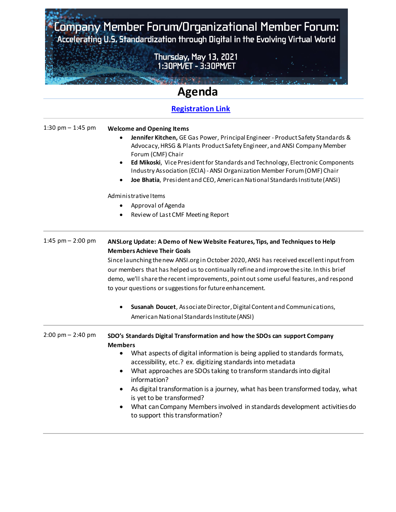Company Member Forum/Organizational Member Forum:<br>Accelerating U.S. Standardization through Digital in the Evolving Virtual World

Thursday, May 13, 2021<br>. 1:30PM/ET - 3:30PM/ET

**Constitution** of the Constitution

**Second Portions** 

## **Agenda**

## **[Registration Link](https://goansi.webex.com/goansi/j.php?RGID=r36f02d79e13405209805fcec46f1c442)**

| 1:30 pm $-$ 1:45 pm                 | <b>Welcome and Opening Items</b><br>Jennifer Kitchen, GE Gas Power, Principal Engineer - Product Safety Standards &<br>Advocacy, HRSG & Plants Product Safety Engineer, and ANSI Company Member<br>Forum (CMF) Chair<br>Ed Mikoski, Vice President for Standards and Technology, Electronic Components<br>$\bullet$<br>Industry Association (ECIA) - ANSI Organization Member Forum (OMF) Chair<br>Joe Bhatia, President and CEO, American National Standards Institute (ANSI)<br>٠<br>Administrative Items |
|-------------------------------------|-------------------------------------------------------------------------------------------------------------------------------------------------------------------------------------------------------------------------------------------------------------------------------------------------------------------------------------------------------------------------------------------------------------------------------------------------------------------------------------------------------------|
|                                     | Approval of Agenda<br>٠<br>Review of Last CMF Meeting Report<br>$\bullet$                                                                                                                                                                                                                                                                                                                                                                                                                                   |
|                                     |                                                                                                                                                                                                                                                                                                                                                                                                                                                                                                             |
| 1:45 pm $-$ 2:00 pm                 | ANSI.org Update: A Demo of New Website Features, Tips, and Techniques to Help<br><b>Members Achieve Their Goals</b>                                                                                                                                                                                                                                                                                                                                                                                         |
|                                     | Since launching the new ANSI org in October 2020, ANSI has received excellent input from                                                                                                                                                                                                                                                                                                                                                                                                                    |
|                                     | our members that has helped us to continually refine and improve the site. In this brief                                                                                                                                                                                                                                                                                                                                                                                                                    |
|                                     | demo, we'll share the recent improvements, point out some useful features, and respond                                                                                                                                                                                                                                                                                                                                                                                                                      |
|                                     | to your questions or suggestions for future enhancement.                                                                                                                                                                                                                                                                                                                                                                                                                                                    |
|                                     | Susanah Doucet, Associate Director, Digital Content and Communications,<br>$\bullet$                                                                                                                                                                                                                                                                                                                                                                                                                        |
|                                     | American National Standards Institute (ANSI)                                                                                                                                                                                                                                                                                                                                                                                                                                                                |
| $2:00 \text{ pm} - 2:40 \text{ pm}$ | SDO's Standards Digital Transformation and how the SDOs can support Company                                                                                                                                                                                                                                                                                                                                                                                                                                 |
|                                     | <b>Members</b>                                                                                                                                                                                                                                                                                                                                                                                                                                                                                              |
|                                     | What aspects of digital information is being applied to standards formats,<br>٠                                                                                                                                                                                                                                                                                                                                                                                                                             |
|                                     | accessibility, etc.? ex. digitizing standards into metadata                                                                                                                                                                                                                                                                                                                                                                                                                                                 |
|                                     | What approaches are SDOs taking to transform standards into digital<br>٠<br>information?                                                                                                                                                                                                                                                                                                                                                                                                                    |
|                                     | As digital transformation is a journey, what has been transformed today, what<br>٠                                                                                                                                                                                                                                                                                                                                                                                                                          |
|                                     | is yet to be transformed?                                                                                                                                                                                                                                                                                                                                                                                                                                                                                   |
|                                     | What can Company Members involved in standards development activities do<br>$\bullet$<br>to support this transformation?                                                                                                                                                                                                                                                                                                                                                                                    |
|                                     |                                                                                                                                                                                                                                                                                                                                                                                                                                                                                                             |